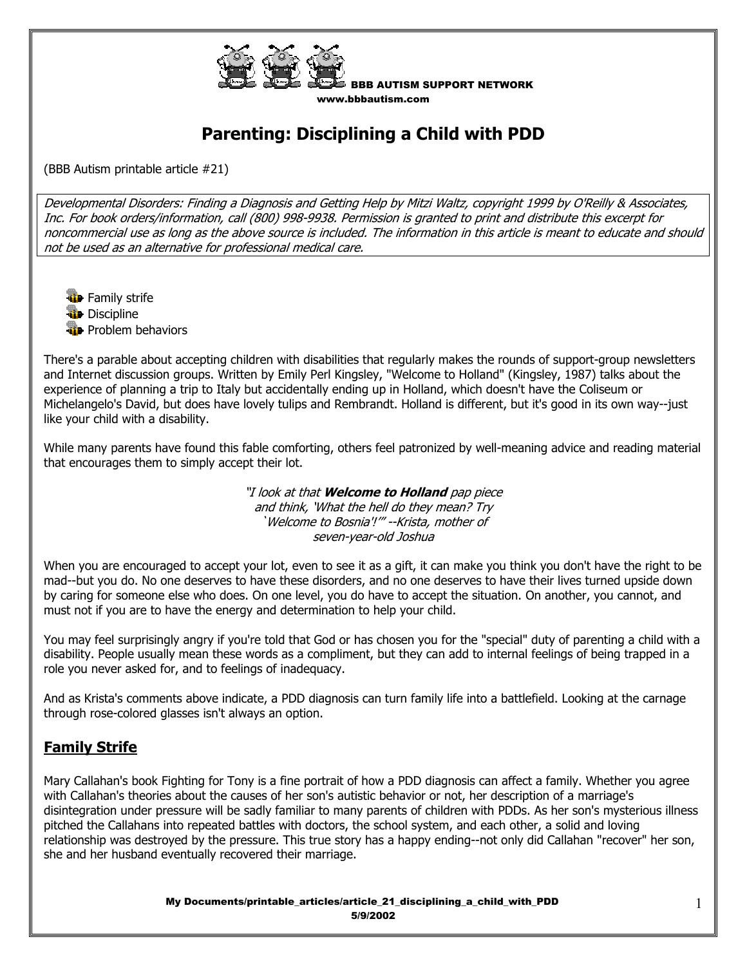

www.bbbautism.com

BBB AUTISM SUPPORT NETWORK

# **Parenting: Disciplining a Child with PDD**

(BBB Autism printable article #21)

Developmental Disorders: Finding a Diagnosis and Getting Help by Mitzi Waltz, copyright 1999 by O'Reilly & Associates, Inc. For book orders/information, call (800) 998-9938. Permission is granted to print and distribute this excerpt for noncommercial use as long as the above source is included. The information in this article is meant to educate and should not be used as an alternative for professional medical care.

**Family strife D**iscipline **B** Problem behaviors

There's a parable about accepting children with disabilities that regularly makes the rounds of support-group newsletters and Internet discussion groups. Written by Emily Perl Kingsley, "Welcome to Holland" (Kingsley, 1987) talks about the experience of planning a trip to Italy but accidentally ending up in Holland, which doesn't have the Coliseum or Michelangelo's David, but does have lovely tulips and Rembrandt. Holland is different, but it's good in its own way--just like your child with a disability.

While many parents have found this fable comforting, others feel patronized by well-meaning advice and reading material that encourages them to simply accept their lot.

> "I look at that **Welcome to Holland** pap piece and think, 'What the hell do they mean? Try `Welcome to Bosnia'!'" --Krista, mother of seven-year-old Joshua

When you are encouraged to accept your lot, even to see it as a gift, it can make you think you don't have the right to be mad--but you do. No one deserves to have these disorders, and no one deserves to have their lives turned upside down by caring for someone else who does. On one level, you do have to accept the situation. On another, you cannot, and must not if you are to have the energy and determination to help your child.

You may feel surprisingly angry if you're told that God or has chosen you for the "special" duty of parenting a child with a disability. People usually mean these words as a compliment, but they can add to internal feelings of being trapped in a role you never asked for, and to feelings of inadequacy.

And as Krista's comments above indicate, a PDD diagnosis can turn family life into a battlefield. Looking at the carnage through rose-colored glasses isn't always an option.

## **Family Strife**

Mary Callahan's book Fighting for Tony is a fine portrait of how a PDD diagnosis can affect a family. Whether you agree with Callahan's theories about the causes of her son's autistic behavior or not, her description of a marriage's disintegration under pressure will be sadly familiar to many parents of children with PDDs. As her son's mysterious illness pitched the Callahans into repeated battles with doctors, the school system, and each other, a solid and loving relationship was destroyed by the pressure. This true story has a happy ending--not only did Callahan "recover" her son, she and her husband eventually recovered their marriage.

> My Documents/printable\_articles/article\_21\_disciplining\_a\_child\_with\_PDD 5/9/2002

1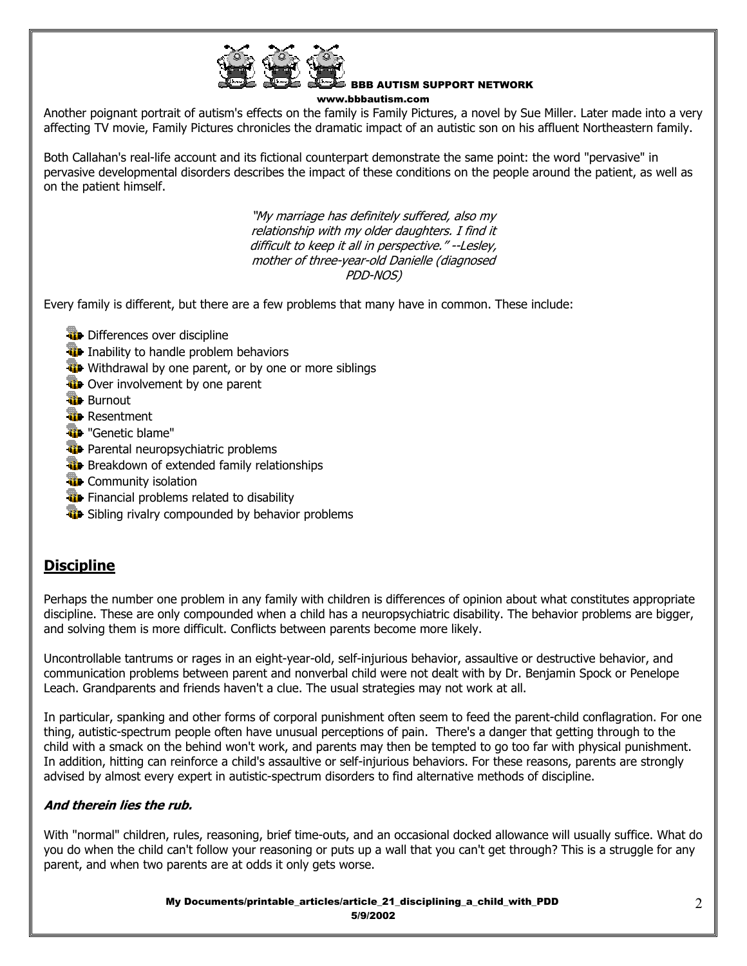

## BBB AUTISM SUPPORT NETWORK

w.bbbautism.com

Another poignant portrait of autism's effects on the family is Family Pictures, a novel by Sue Miller. Later made into a very affecting TV movie, Family Pictures chronicles the dramatic impact of an autistic son on his affluent Northeastern family.

Both Callahan's real-life account and its fictional counterpart demonstrate the same point: the word "pervasive" in pervasive developmental disorders describes the impact of these conditions on the people around the patient, as well as on the patient himself.

> "My marriage has definitely suffered, also my relationship with my older daughters. I find it difficult to keep it all in perspective." --Lesley, mother of three-year-old Danielle (diagnosed PDD-NOS)

Every family is different, but there are a few problems that many have in common. These include:

- **Differences over discipline**
- **ID** Inability to handle problem behaviors
- **Withdrawal by one parent, or by one or more siblings**
- **T** Over involvement by one parent
- **Burnout**
- **Resentment**
- **Th** "Genetic blame"
- **Parental neuropsychiatric problems**
- **Breakdown of extended family relationships**
- **T** Community isolation
- **Financial problems related to disability**
- **B** Sibling rivalry compounded by behavior problems

#### **Discipline**

Perhaps the number one problem in any family with children is differences of opinion about what constitutes appropriate discipline. These are only compounded when a child has a neuropsychiatric disability. The behavior problems are bigger, and solving them is more difficult. Conflicts between parents become more likely.

Uncontrollable tantrums or rages in an eight-year-old, self-injurious behavior, assaultive or destructive behavior, and communication problems between parent and nonverbal child were not dealt with by Dr. Benjamin Spock or Penelope Leach. Grandparents and friends haven't a clue. The usual strategies may not work at all.

In particular, spanking and other forms of corporal punishment often seem to feed the parent-child conflagration. For one thing, autistic-spectrum people often have unusual perceptions of pain. There's a danger that getting through to the child with a smack on the behind won't work, and parents may then be tempted to go too far with physical punishment. In addition, hitting can reinforce a child's assaultive or self-injurious behaviors. For these reasons, parents are strongly advised by almost every expert in autistic-spectrum disorders to find alternative methods of discipline.

#### **And therein lies the rub.**

With "normal" children, rules, reasoning, brief time-outs, and an occasional docked allowance will usually suffice. What do you do when the child can't follow your reasoning or puts up a wall that you can't get through? This is a struggle for any parent, and when two parents are at odds it only gets worse.

> My Documents/printable\_articles/article\_21\_disciplining\_a\_child\_with\_PDD 5/9/2002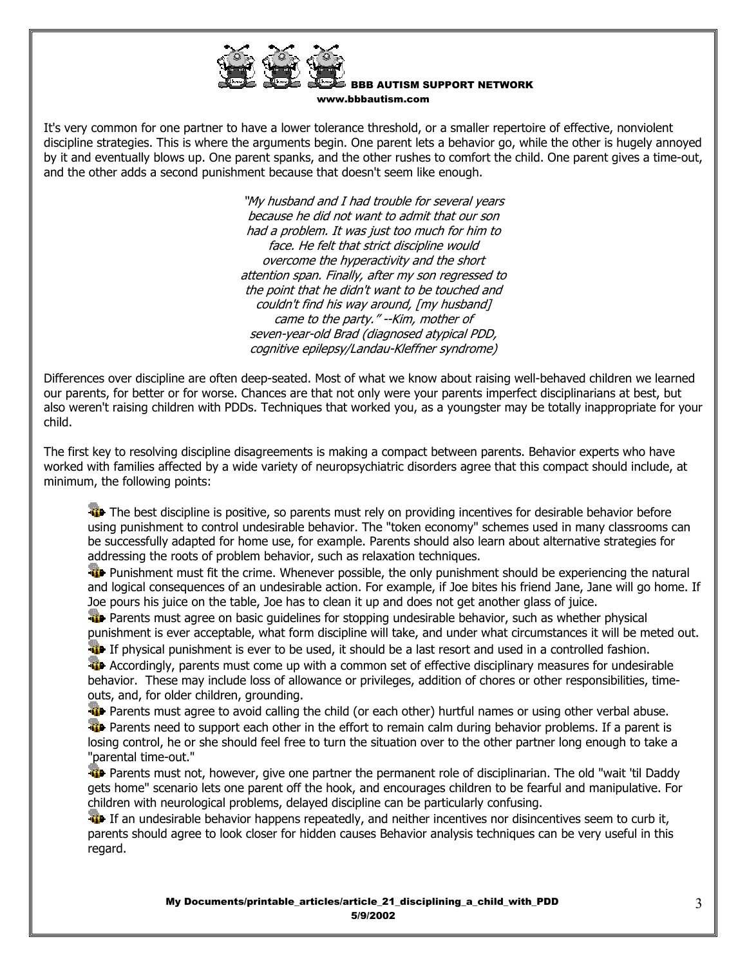

It's very common for one partner to have a lower tolerance threshold, or a smaller repertoire of effective, nonviolent discipline strategies. This is where the arguments begin. One parent lets a behavior go, while the other is hugely annoyed by it and eventually blows up. One parent spanks, and the other rushes to comfort the child. One parent gives a time-out, and the other adds a second punishment because that doesn't seem like enough.

> "My husband and I had trouble for several years because he did not want to admit that our son had a problem. It was just too much for him to face. He felt that strict discipline would overcome the hyperactivity and the short attention span. Finally, after my son regressed to the point that he didn't want to be touched and couldn't find his way around, [my husband] came to the party." --Kim, mother of seven-year-old Brad (diagnosed atypical PDD, cognitive epilepsy/Landau-Kleffner syndrome)

Differences over discipline are often deep-seated. Most of what we know about raising well-behaved children we learned our parents, for better or for worse. Chances are that not only were your parents imperfect disciplinarians at best, but also weren't raising children with PDDs. Techniques that worked you, as a youngster may be totally inappropriate for your child.

The first key to resolving discipline disagreements is making a compact between parents. Behavior experts who have worked with families affected by a wide variety of neuropsychiatric disorders agree that this compact should include, at minimum, the following points:

The best discipline is positive, so parents must rely on providing incentives for desirable behavior before using punishment to control undesirable behavior. The "token economy" schemes used in many classrooms can be successfully adapted for home use, for example. Parents should also learn about alternative strategies for addressing the roots of problem behavior, such as relaxation techniques.

**W** Punishment must fit the crime. Whenever possible, the only punishment should be experiencing the natural and logical consequences of an undesirable action. For example, if Joe bites his friend Jane, Jane will go home. If Joe pours his juice on the table, Joe has to clean it up and does not get another glass of juice.

**Parents must agree on basic guidelines for stopping undesirable behavior, such as whether physical** punishment is ever acceptable, what form discipline will take, and under what circumstances it will be meted out.

**If** physical punishment is ever to be used, it should be a last resort and used in a controlled fashion. **All** Accordingly, parents must come up with a common set of effective disciplinary measures for undesirable behavior. These may include loss of allowance or privileges, addition of chores or other responsibilities, timeouts, and, for older children, grounding.

**Parents must agree to avoid calling the child (or each other) hurtful names or using other verbal abuse. Parents need to support each other in the effort to remain calm during behavior problems. If a parent is** losing control, he or she should feel free to turn the situation over to the other partner long enough to take a "parental time-out."

**Parents must not, however, give one partner the permanent role of disciplinarian. The old "wait 'til Daddy** gets home" scenario lets one parent off the hook, and encourages children to be fearful and manipulative. For children with neurological problems, delayed discipline can be particularly confusing.

**If an undesirable behavior happens repeatedly, and neither incentives nor disincentives seem to curb it,** parents should agree to look closer for hidden causes Behavior analysis techniques can be very useful in this regard.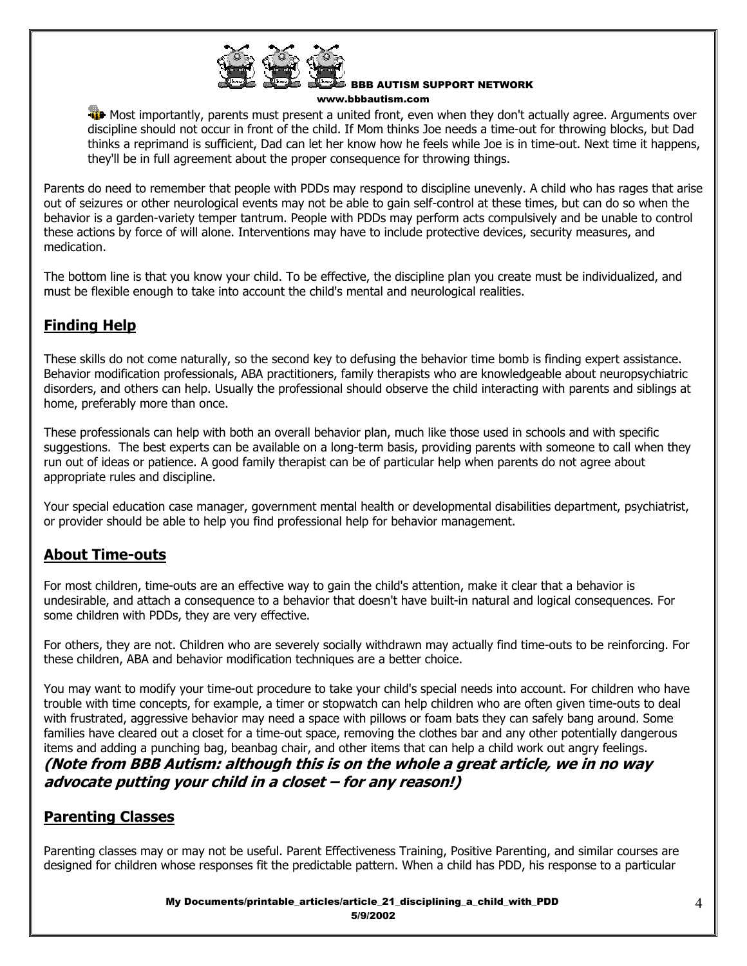

BBB AUTISM SUPPORT NETWORK

www.bbbautism.com

We Most importantly, parents must present a united front, even when they don't actually agree. Arguments over discipline should not occur in front of the child. If Mom thinks Joe needs a time-out for throwing blocks, but Dad thinks a reprimand is sufficient, Dad can let her know how he feels while Joe is in time-out. Next time it happens, they'll be in full agreement about the proper consequence for throwing things.

Parents do need to remember that people with PDDs may respond to discipline unevenly. A child who has rages that arise out of seizures or other neurological events may not be able to gain self-control at these times, but can do so when the behavior is a garden-variety temper tantrum. People with PDDs may perform acts compulsively and be unable to control these actions by force of will alone. Interventions may have to include protective devices, security measures, and medication.

The bottom line is that you know your child. To be effective, the discipline plan you create must be individualized, and must be flexible enough to take into account the child's mental and neurological realities.

## **Finding Help**

These skills do not come naturally, so the second key to defusing the behavior time bomb is finding expert assistance. Behavior modification professionals, ABA practitioners, family therapists who are knowledgeable about neuropsychiatric disorders, and others can help. Usually the professional should observe the child interacting with parents and siblings at home, preferably more than once.

These professionals can help with both an overall behavior plan, much like those used in schools and with specific suggestions. The best experts can be available on a long-term basis, providing parents with someone to call when they run out of ideas or patience. A good family therapist can be of particular help when parents do not agree about appropriate rules and discipline.

Your special education case manager, government mental health or developmental disabilities department, psychiatrist, or provider should be able to help you find professional help for behavior management.

#### **About Time-outs**

For most children, time-outs are an effective way to gain the child's attention, make it clear that a behavior is undesirable, and attach a consequence to a behavior that doesn't have built-in natural and logical consequences. For some children with PDDs, they are very effective.

For others, they are not. Children who are severely socially withdrawn may actually find time-outs to be reinforcing. For these children, ABA and behavior modification techniques are a better choice.

You may want to modify your time-out procedure to take your child's special needs into account. For children who have trouble with time concepts, for example, a timer or stopwatch can help children who are often given time-outs to deal with frustrated, aggressive behavior may need a space with pillows or foam bats they can safely bang around. Some families have cleared out a closet for a time-out space, removing the clothes bar and any other potentially dangerous items and adding a punching bag, beanbag chair, and other items that can help a child work out angry feelings.

#### **(Note from BBB Autism: although this is on the whole a great article, we in no way advocate putting your child in a closet – for any reason!)**

#### **Parenting Classes**

Parenting classes may or may not be useful. Parent Effectiveness Training, Positive Parenting, and similar courses are designed for children whose responses fit the predictable pattern. When a child has PDD, his response to a particular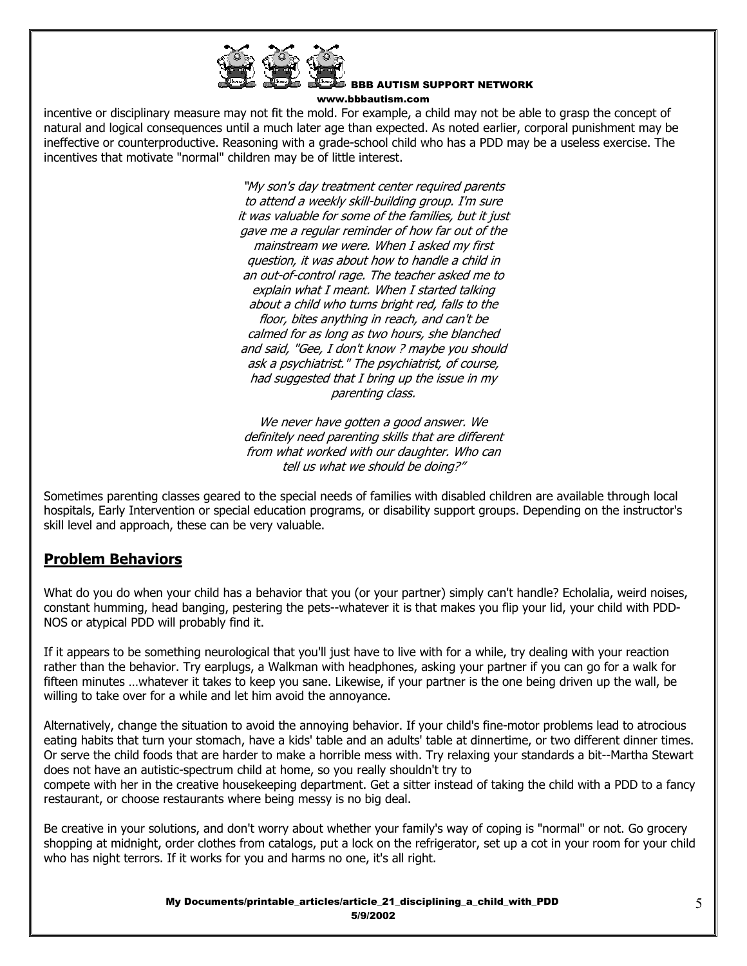

#### BBB AUTISM SUPPORT NETWORK www.bbbautism.com

incentive or disciplinary measure may not fit the mold. For example, a child may not be able to grasp the concept of natural and logical consequences until a much later age than expected. As noted earlier, corporal punishment may be ineffective or counterproductive. Reasoning with a grade-school child who has a PDD may be a useless exercise. The incentives that motivate "normal" children may be of little interest.

> "My son's day treatment center required parents to attend a weekly skill-building group. I'm sure it was valuable for some of the families, but it just gave me a regular reminder of how far out of the mainstream we were. When I asked my first question, it was about how to handle a child in an out-of-control rage. The teacher asked me to explain what I meant. When I started talking about a child who turns bright red, falls to the floor, bites anything in reach, and can't be calmed for as long as two hours, she blanched and said, "Gee, I don't know ? maybe you should ask a psychiatrist." The psychiatrist, of course, had suggested that I bring up the issue in my parenting class.

We never have gotten a good answer. We definitely need parenting skills that are different from what worked with our daughter. Who can tell us what we should be doing?"

Sometimes parenting classes geared to the special needs of families with disabled children are available through local hospitals, Early Intervention or special education programs, or disability support groups. Depending on the instructor's skill level and approach, these can be very valuable.

#### **Problem Behaviors**

What do you do when your child has a behavior that you (or your partner) simply can't handle? Echolalia, weird noises, constant humming, head banging, pestering the pets--whatever it is that makes you flip your lid, your child with PDD-NOS or atypical PDD will probably find it.

If it appears to be something neurological that you'll just have to live with for a while, try dealing with your reaction rather than the behavior. Try earplugs, a Walkman with headphones, asking your partner if you can go for a walk for fifteen minutes …whatever it takes to keep you sane. Likewise, if your partner is the one being driven up the wall, be willing to take over for a while and let him avoid the annoyance.

Alternatively, change the situation to avoid the annoying behavior. If your child's fine-motor problems lead to atrocious eating habits that turn your stomach, have a kids' table and an adults' table at dinnertime, or two different dinner times. Or serve the child foods that are harder to make a horrible mess with. Try relaxing your standards a bit--Martha Stewart does not have an autistic-spectrum child at home, so you really shouldn't try to

compete with her in the creative housekeeping department. Get a sitter instead of taking the child with a PDD to a fancy restaurant, or choose restaurants where being messy is no big deal.

Be creative in your solutions, and don't worry about whether your family's way of coping is "normal" or not. Go grocery shopping at midnight, order clothes from catalogs, put a lock on the refrigerator, set up a cot in your room for your child who has night terrors. If it works for you and harms no one, it's all right.

> My Documents/printable\_articles/article\_21\_disciplining\_a\_child\_with\_PDD 5/9/2002